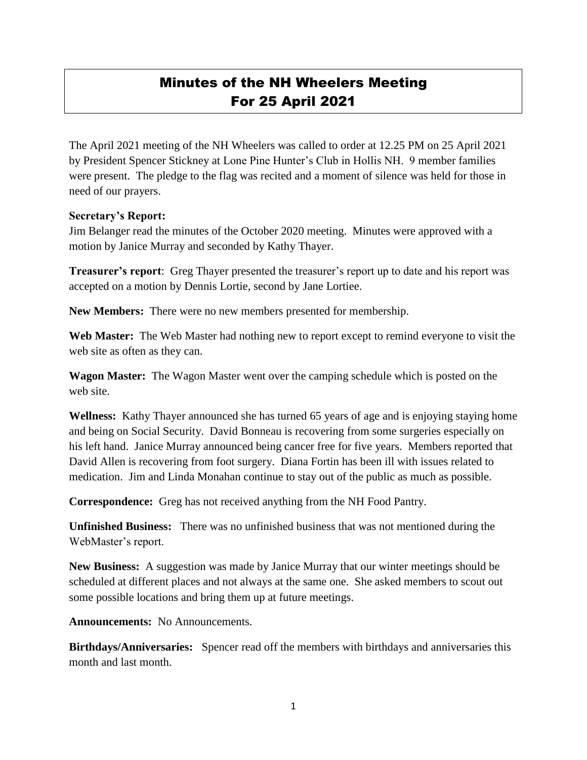## Minutes of the NH Wheelers Meeting For 25 April 2021

The April 2021 meeting of the NH Wheelers was called to order at 12.25 PM on 25 April 2021 by President Spencer Stickney at Lone Pine Hunter's Club in Hollis NH. 9 member families were present. The pledge to the flag was recited and a moment of silence was held for those in need of our prayers.

## **Secretary's Report:**

Jim Belanger read the minutes of the October 2020 meeting. Minutes were approved with a motion by Janice Murray and seconded by Kathy Thayer.

**Treasurer's report**: Greg Thayer presented the treasurer's report up to date and his report was accepted on a motion by Dennis Lortie, second by Jane Lortiee.

**New Members:** There were no new members presented for membership.

**Web Master:** The Web Master had nothing new to report except to remind everyone to visit the web site as often as they can.

**Wagon Master:** The Wagon Master went over the camping schedule which is posted on the web site.

**Wellness:** Kathy Thayer announced she has turned 65 years of age and is enjoying staying home and being on Social Security. David Bonneau is recovering from some surgeries especially on his left hand. Janice Murray announced being cancer free for five years. Members reported that David Allen is recovering from foot surgery. Diana Fortin has been ill with issues related to medication. Jim and Linda Monahan continue to stay out of the public as much as possible.

**Correspondence:** Greg has not received anything from the NH Food Pantry.

**Unfinished Business:** There was no unfinished business that was not mentioned during the WebMaster's report.

**New Business:** A suggestion was made by Janice Murray that our winter meetings should be scheduled at different places and not always at the same one. She asked members to scout out some possible locations and bring them up at future meetings.

**Announcements:** No Announcements.

**Birthdays/Anniversaries:** Spencer read off the members with birthdays and anniversaries this month and last month.